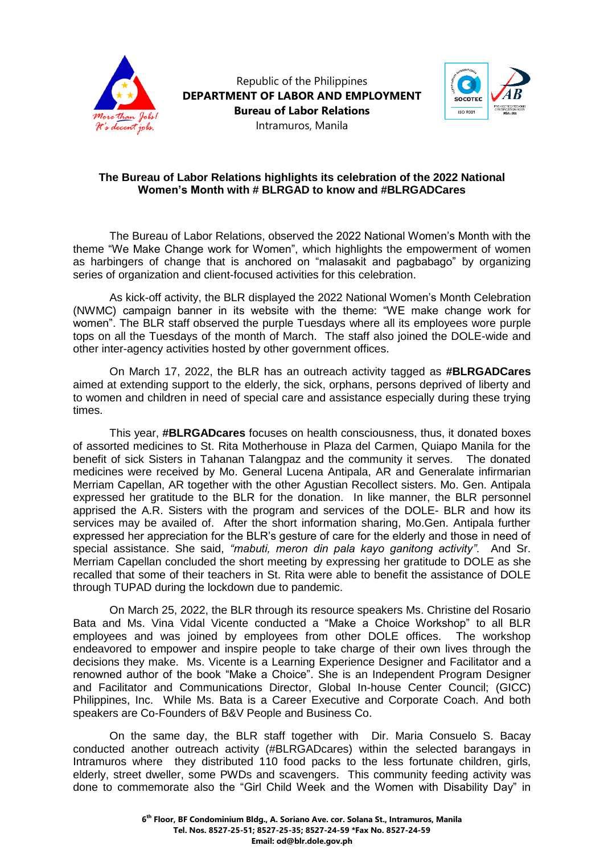



## **The Bureau of Labor Relations highlights its celebration of the 2022 National Women's Month with # BLRGAD to know and #BLRGADCares**

The Bureau of Labor Relations, observed the 2022 National Women's Month with the theme "We Make Change work for Women", which highlights the empowerment of women as harbingers of change that is anchored on "malasakit and pagbabago" by organizing series of organization and client-focused activities for this celebration.

As kick-off activity, the BLR displayed the 2022 National Women's Month Celebration (NWMC) campaign banner in its website with the theme: "WE make change work for women". The BLR staff observed the purple Tuesdays where all its employees wore purple tops on all the Tuesdays of the month of March. The staff also joined the DOLE-wide and other inter-agency activities hosted by other government offices.

On March 17, 2022, the BLR has an outreach activity tagged as **#BLRGADCares** aimed at extending support to the elderly, the sick, orphans, persons deprived of liberty and to women and children in need of special care and assistance especially during these trying times.

This year, **#BLRGADcares** focuses on health consciousness, thus, it donated boxes of assorted medicines to St. Rita Motherhouse in Plaza del Carmen, Quiapo Manila for the benefit of sick Sisters in Tahanan Talangpaz and the community it serves. The donated medicines were received by Mo. General Lucena Antipala, AR and Generalate infirmarian Merriam Capellan, AR together with the other Agustian Recollect sisters. Mo. Gen. Antipala expressed her gratitude to the BLR for the donation. In like manner, the BLR personnel apprised the A.R. Sisters with the program and services of the DOLE- BLR and how its services may be availed of. After the short information sharing, Mo.Gen. Antipala further expressed her appreciation for the BLR's gesture of care for the elderly and those in need of special assistance. She said, *"mabuti, meron din pala kayo ganitong activity"*. And Sr. Merriam Capellan concluded the short meeting by expressing her gratitude to DOLE as she recalled that some of their teachers in St. Rita were able to benefit the assistance of DOLE through TUPAD during the lockdown due to pandemic.

On March 25, 2022, the BLR through its resource speakers Ms. Christine del Rosario Bata and Ms. Vina Vidal Vicente conducted a "Make a Choice Workshop" to all BLR employees and was joined by employees from other DOLE offices. The workshop endeavored to empower and inspire people to take charge of their own lives through the decisions they make. Ms. Vicente is a Learning Experience Designer and Facilitator and a renowned author of the book "Make a Choice". She is an Independent Program Designer and Facilitator and Communications Director, Global In-house Center Council; (GICC) Philippines, Inc. While Ms. Bata is a Career Executive and Corporate Coach. And both speakers are Co-Founders of B&V People and Business Co.

On the same day, the BLR staff together with Dir. Maria Consuelo S. Bacay conducted another outreach activity (#BLRGADcares) within the selected barangays in Intramuros where they distributed 110 food packs to the less fortunate children, girls, elderly, street dweller, some PWDs and scavengers. This community feeding activity was done to commemorate also the "Girl Child Week and the Women with Disability Day" in